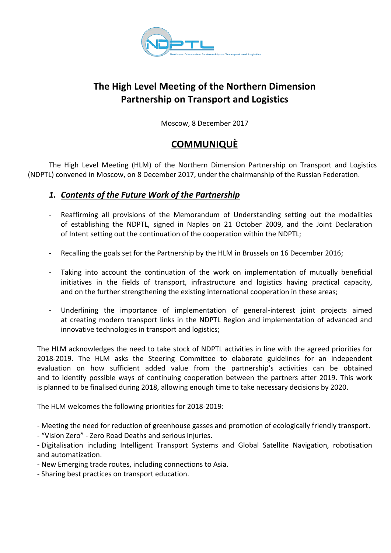

# **The High Level Meeting of the Northern Dimension Partnership on Transport and Logistics**

Moscow, 8 December 2017

## **COMMUNIQUÈ**

The High Level Meeting (HLM) of the Northern Dimension Partnership on Transport and Logistics (NDPTL) convened in Moscow, on 8 December 2017, under the chairmanship of the Russian Federation.

### *1. Contents of the Future Work of the Partnership*

- Reaffirming all provisions of the Memorandum of Understanding setting out the modalities of establishing the NDPTL, signed in Naples on 21 October 2009, and the Joint Declaration of Intent setting out the continuation of the cooperation within the NDPTL;
- Recalling the goals set for the Partnership by the HLM in Brussels on 16 December 2016;
- Taking into account the continuation of the work on implementation of mutually beneficial initiatives in the fields of transport, infrastructure and logistics having practical capacity, and on the further strengthening the existing international cooperation in these areas;
- Underlining the importance of implementation of general-interest joint projects aimed at creating modern transport links in the NDPTL Region and implementation of advanced and innovative technologies in transport and logistics;

The HLM acknowledges the need to take stock of NDPTL activities in line with the agreed priorities for 2018-2019. The HLM asks the Steering Committee to elaborate guidelines for an independent evaluation on how sufficient added value from the partnership's activities can be obtained and to identify possible ways of continuing cooperation between the partners after 2019. This work is planned to be finalised during 2018, allowing enough time to take necessary decisions by 2020.

The HLM welcomes the following priorities for 2018-2019:

- Meeting the need for reduction of greenhouse gasses and promotion of ecologically friendly transport.

- "Vision Zero" - Zero Road Deaths and serious injuries.

- Digitalisation including Intelligent Transport Systems and Global Satellite Navigation, robotisation and automatization.

- New Emerging trade routes, including connections to Asia.

- Sharing best practices on transport education.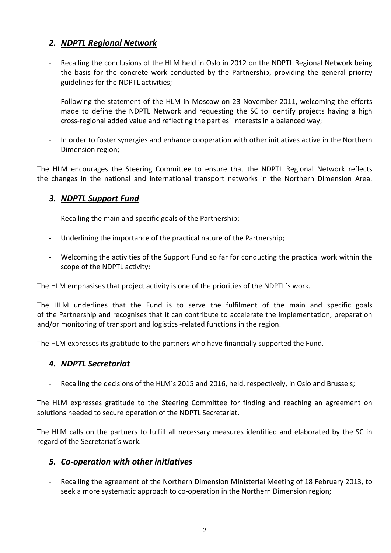## *2. NDPTL Regional Network*

- Recalling the conclusions of the HLM held in Oslo in 2012 on the NDPTL Regional Network being the basis for the concrete work conducted by the Partnership, providing the general priority guidelines for the NDPTL activities;
- Following the statement of the HLM in Moscow on 23 November 2011, welcoming the efforts made to define the NDPTL Network and requesting the SC to identify projects having a high cross-regional added value and reflecting the parties´ interests in a balanced way;
- In order to foster synergies and enhance cooperation with other initiatives active in the Northern Dimension region;

The HLM encourages the Steering Committee to ensure that the NDPTL Regional Network reflects the changes in the national and international transport networks in the Northern Dimension Area.

### *3. NDPTL Support Fund*

- Recalling the main and specific goals of the Partnership;
- Underlining the importance of the practical nature of the Partnership;
- Welcoming the activities of the Support Fund so far for conducting the practical work within the scope of the NDPTL activity;

The HLM emphasises that project activity is one of the priorities of the NDPTL´s work.

The HLM underlines that the Fund is to serve the fulfilment of the main and specific goals of the Partnership and recognises that it can contribute to accelerate the implementation, preparation and/or monitoring of transport and logistics -related functions in the region.

The HLM expresses its gratitude to the partners who have financially supported the Fund.

#### *4. NDPTL Secretariat*

Recalling the decisions of the HLM's 2015 and 2016, held, respectively, in Oslo and Brussels;

The HLM expresses gratitude to the Steering Committee for finding and reaching an agreement on solutions needed to secure operation of the NDPTL Secretariat.

The HLM calls on the partners to fulfill all necessary measures identified and elaborated by the SC in regard of the Secretariat´s work.

#### *5. Co-operation with other initiatives*

Recalling the agreement of the Northern Dimension Ministerial Meeting of 18 February 2013, to seek a more systematic approach to co-operation in the Northern Dimension region;